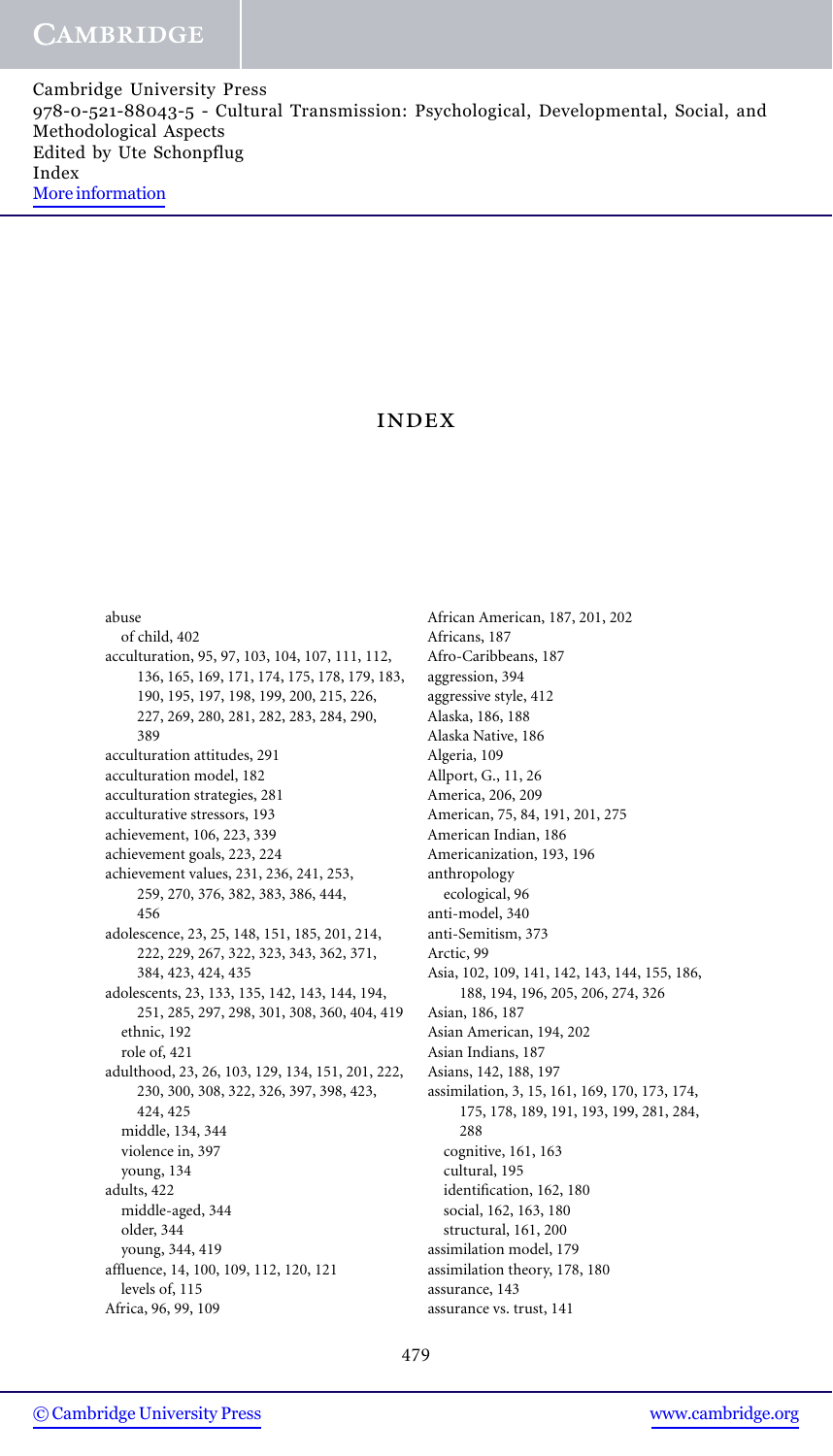## index

abuse of child, 402 acculturation, 95, 97, 103, 104, 107, 111, 112, 136, 165, 169, 171, 174, 175, 178, 179, 183, 190, 195, 197, 198, 199, 200, 215, 226, 227, 269, 280, 281, 282, 283, 284, 290, 389 acculturation attitudes, 291 acculturation model, 182 acculturation strategies, 281 acculturative stressors, 193 achievement, 106, 223, 339 achievement goals, 223, 224 achievement values, 231, 236, 241, 253, 259, 270, 376, 382, 383, 386, 444, 456 adolescence, 23, 25, 148, 151, 185, 201, 214, 222, 229, 267, 322, 323, 343, 362, 371, 384, 423, 424, 435 adolescents, 23, 133, 135, 142, 143, 144, 194, 251, 285, 297, 298, 301, 308, 360, 404, 419 ethnic, 192 role of, 421 adulthood, 23, 26, 103, 129, 134, 151, 201, 222, 230, 300, 308, 322, 326, 397, 398, 423, 424, 425 middle, 134, 344 violence in, 397 young, 134 adults, 422 middle-aged, 344 older, 344 young, 344, 419 affluence, 14, 100, 109, 112, 120, 121 levels of, 115 Africa, 96, 99, 109

African American, 187, 201, 202 Africans, 187 Afro-Caribbeans, 187 aggression, 394 aggressive style, 412 Alaska, 186, 188 Alaska Native, 186 Algeria, 109 Allport, G., 11, 26 America, 206, 209 American, 75, 84, 191, 201, 275 American Indian, 186 Americanization, 193, 196 anthropology ecological, 96 anti-model, 340 anti-Semitism, 373 Arctic, 99 Asia, 102, 109, 141, 142, 143, 144, 155, 186, 188, 194, 196, 205, 206, 274, 326 Asian, 186, 187 Asian American, 194, 202 Asian Indians, 187 Asians, 142, 188, 197 assimilation, 3, 15, 161, 169, 170, 173, 174, 175, 178, 189, 191, 193, 199, 281, 284, 288 cognitive, 161, 163 cultural, 195 identification, 162, 180 social, 162, 163, 180 structural, 161, 200 assimilation model, 179 assimilation theory, 178, 180 assurance, 143 assurance vs. trust, 141

479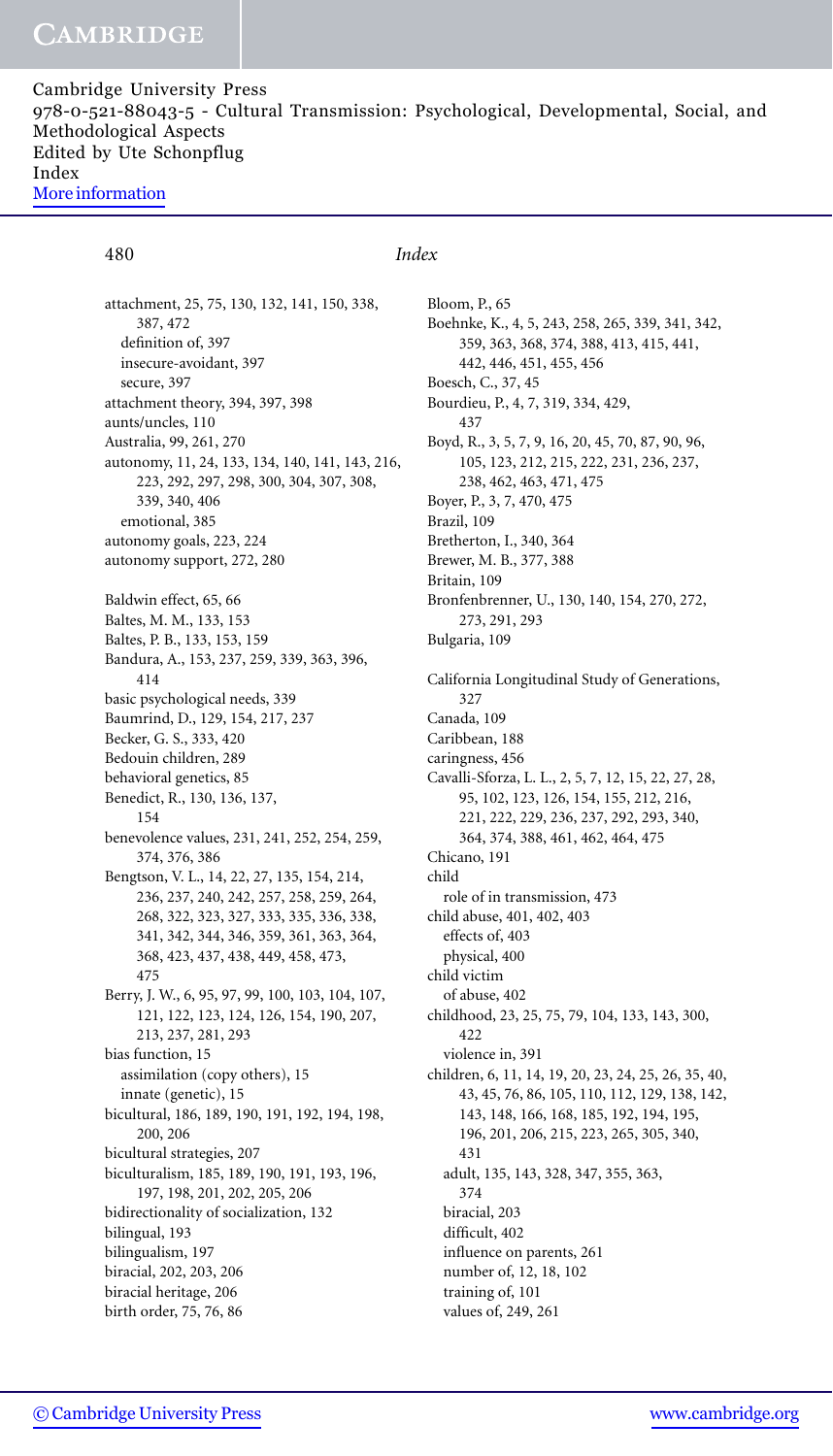attachment, 25, 75, 130, 132, 141, 150, 338, 387, 472 definition of, 397 insecure-avoidant, 397 secure, 397 attachment theory, 394, 397, 398 aunts/uncles, 110 Australia, 99, 261, 270 autonomy, 11, 24, 133, 134, 140, 141, 143, 216, 223, 292, 297, 298, 300, 304, 307, 308, 339, 340, 406 emotional, 385 autonomy goals, 223, 224 autonomy support, 272, 280 Baldwin effect, 65, 66 Baltes, M. M., 133, 153 Baltes, P. B., 133, 153, 159 Bandura, A., 153, 237, 259, 339, 363, 396, 414 basic psychological needs, 339 Baumrind, D., 129, 154, 217, 237 Becker, G. S., 333, 420 Bedouin children, 289 behavioral genetics, 85 Benedict, R., 130, 136, 137, 154 benevolence values, 231, 241, 252, 254, 259, 374, 376, 386 Bengtson, V. L., 14, 22, 27, 135, 154, 214, 236, 237, 240, 242, 257, 258, 259, 264, 268, 322, 323, 327, 333, 335, 336, 338, 341, 342, 344, 346, 359, 361, 363, 364, 368, 423, 437, 438, 449, 458, 473, 475 Berry, J. W., 6, 95, 97, 99, 100, 103, 104, 107, 121, 122, 123, 124, 126, 154, 190, 207, 213, 237, 281, 293 bias function, 15 assimilation (copy others), 15 innate (genetic), 15 bicultural, 186, 189, 190, 191, 192, 194, 198, 200, 206 bicultural strategies, 207 biculturalism, 185, 189, 190, 191, 193, 196, 197, 198, 201, 202, 205, 206 bidirectionality of socialization, 132 bilingual, 193 bilingualism, 197 biracial, 202, 203, 206 biracial heritage, 206 birth order, 75, 76, 86

### 480 *Index*

Bloom, P., 65 Boehnke, K., 4, 5, 243, 258, 265, 339, 341, 342, 359, 363, 368, 374, 388, 413, 415, 441, 442, 446, 451, 455, 456 Boesch, C., 37, 45 Bourdieu, P., 4, 7, 319, 334, 429, 437 Boyd, R., 3, 5, 7, 9, 16, 20, 45, 70, 87, 90, 96, 105, 123, 212, 215, 222, 231, 236, 237, 238, 462, 463, 471, 475 Boyer, P., 3, 7, 470, 475 Brazil, 109 Bretherton, I., 340, 364 Brewer, M. B., 377, 388 Britain, 109 Bronfenbrenner, U., 130, 140, 154, 270, 272, 273, 291, 293 Bulgaria, 109 California Longitudinal Study of Generations, 327 Canada, 109 Caribbean, 188 caringness, 456 Cavalli-Sforza, L. L., 2, 5, 7, 12, 15, 22, 27, 28, 95, 102, 123, 126, 154, 155, 212, 216, 221, 222, 229, 236, 237, 292, 293, 340, 364, 374, 388, 461, 462, 464, 475 Chicano, 191 child role of in transmission, 473 child abuse, 401, 402, 403 effects of, 403 physical, 400 child victim of abuse, 402 childhood, 23, 25, 75, 79, 104, 133, 143, 300, 422 violence in, 391 children, 6, 11, 14, 19, 20, 23, 24, 25, 26, 35, 40, 43, 45, 76, 86, 105, 110, 112, 129, 138, 142, 143, 148, 166, 168, 185, 192, 194, 195, 196, 201, 206, 215, 223, 265, 305, 340, 431 adult, 135, 143, 328, 347, 355, 363, 374 biracial, 203 difficult, 402 influence on parents, 261 number of, 12, 18, 102 training of, 101 values of, 249, 261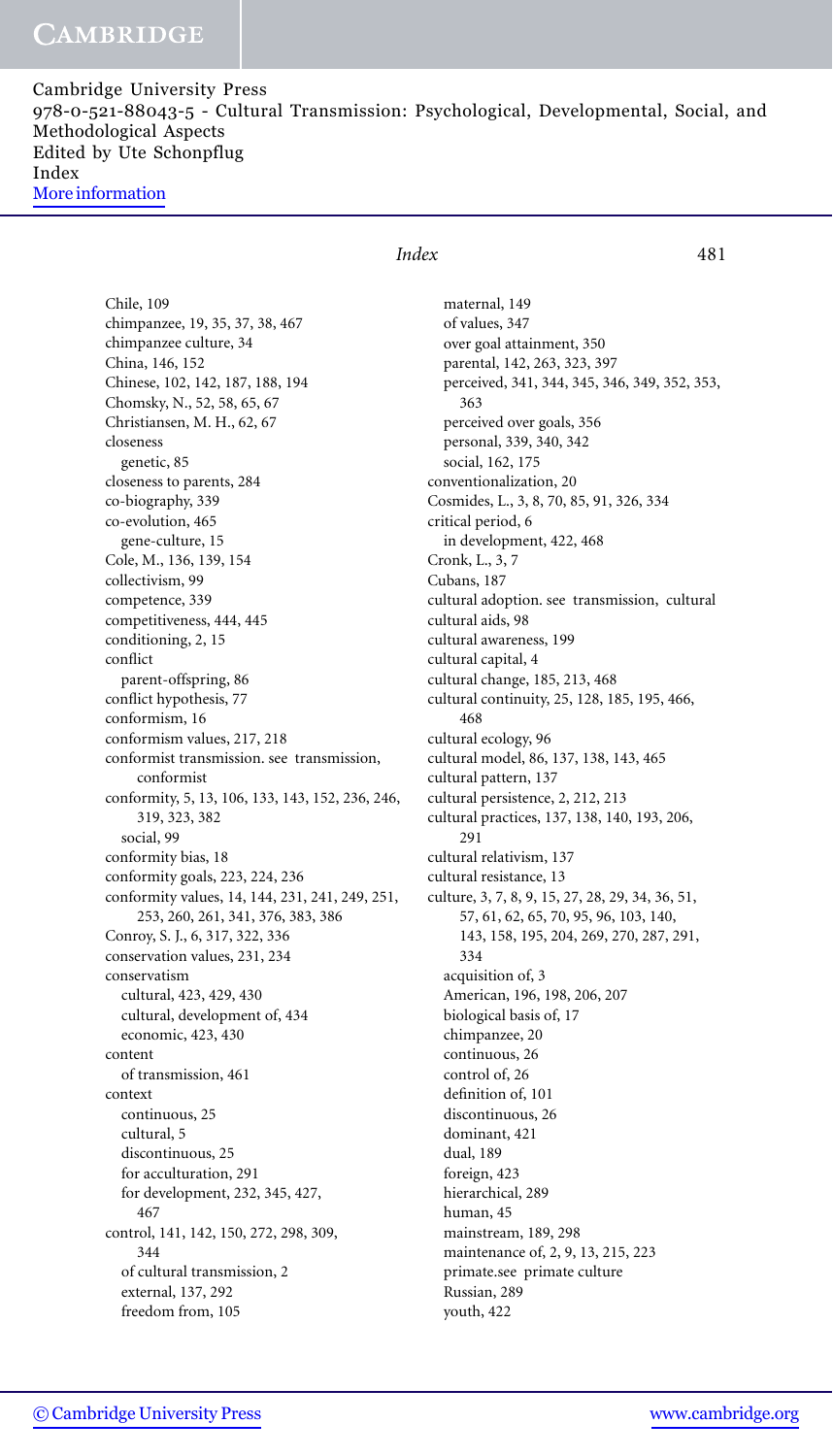Cambridge University Press 978-0-521-88043-5 - Cultural Transmission: Psychological, Developmental, Social, and Methodological Aspects Edited by Ute Schonpflug Index [More information](http://www.cambridge.org/9780521880435)

Chile, 109 chimpanzee, 19, 35, 37, 38, 467 chimpanzee culture, 34 China, 146, 152 Chinese, 102, 142, 187, 188, 194 Chomsky, N., 52, 58, 65, 67 Christiansen, M. H., 62, 67 closeness genetic, 85 closeness to parents, 284 co-biography, 339 co-evolution, 465 gene-culture, 15 Cole, M., 136, 139, 154 collectivism, 99 competence, 339 competitiveness, 444, 445 conditioning, 2, 15 conflict parent-offspring, 86 conflict hypothesis, 77 conformism, 16 conformism values, 217, 218 conformist transmission. see transmission, conformist conformity, 5, 13, 106, 133, 143, 152, 236, 246, 319, 323, 382 social, 99 conformity bias, 18 conformity goals, 223, 224, 236 conformity values, 14, 144, 231, 241, 249, 251, 253, 260, 261, 341, 376, 383, 386 Conroy, S. J., 6, 317, 322, 336 conservation values, 231, 234 conservatism cultural, 423, 429, 430 cultural, development of, 434 economic, 423, 430 content of transmission, 461 context continuous, 25 cultural, 5 discontinuous, 25 for acculturation, 291 for development, 232, 345, 427, 467 control, 141, 142, 150, 272, 298, 309, 344 of cultural transmission, 2 external, 137, 292 freedom from, 105

## *Index* 481

maternal, 149 of values, 347 over goal attainment, 350 parental, 142, 263, 323, 397 perceived, 341, 344, 345, 346, 349, 352, 353, 363 perceived over goals, 356 personal, 339, 340, 342 social, 162, 175 conventionalization, 20 Cosmides, L., 3, 8, 70, 85, 91, 326, 334 critical period, 6 in development, 422, 468 Cronk, L., 3, 7 Cubans, 187 cultural adoption. see transmission, cultural cultural aids, 98 cultural awareness, 199 cultural capital, 4 cultural change, 185, 213, 468 cultural continuity, 25, 128, 185, 195, 466, 468 cultural ecology, 96 cultural model, 86, 137, 138, 143, 465 cultural pattern, 137 cultural persistence, 2, 212, 213 cultural practices, 137, 138, 140, 193, 206, 291 cultural relativism, 137 cultural resistance, 13 culture, 3, 7, 8, 9, 15, 27, 28, 29, 34, 36, 51, 57, 61, 62, 65, 70, 95, 96, 103, 140, 143, 158, 195, 204, 269, 270, 287, 291, 334 acquisition of, 3 American, 196, 198, 206, 207 biological basis of, 17 chimpanzee, 20 continuous, 26 control of, 26 definition of, 101 discontinuous, 26 dominant, 421 dual, 189 foreign, 423 hierarchical, 289 human, 45 mainstream, 189, 298 maintenance of, 2, 9, 13, 215, 223 primate.see primate culture Russian, 289 youth, 422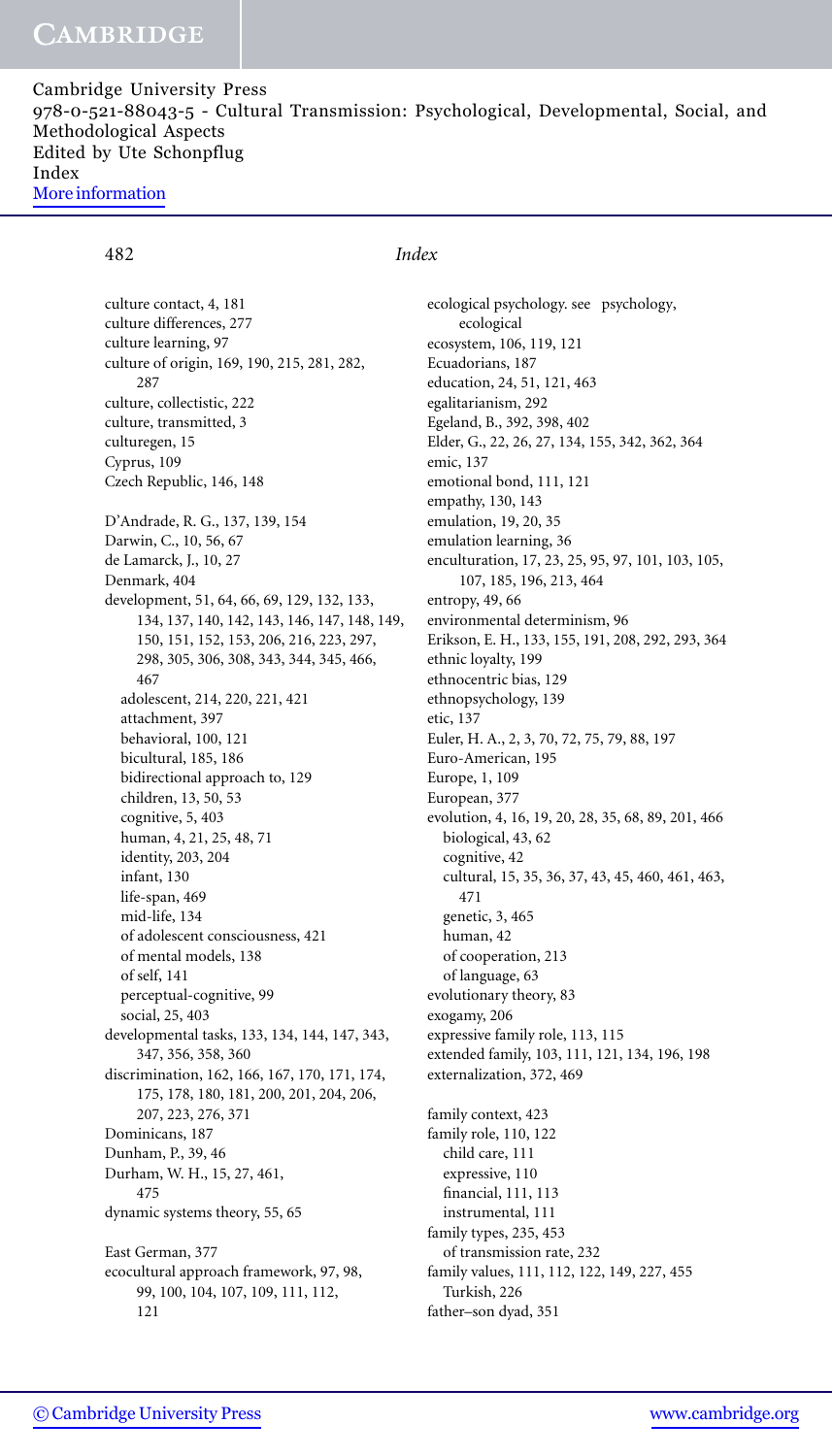482 *Index*

culture contact, 4, 181 culture differences, 277 culture learning, 97 culture of origin, 169, 190, 215, 281, 282, 287 culture, collectistic, 222 culture, transmitted, 3 culturegen, 15 Cyprus, 109 Czech Republic, 146, 148 D'Andrade, R. G., 137, 139, 154 Darwin, C., 10, 56, 67 de Lamarck, J., 10, 27 Denmark, 404 development, 51, 64, 66, 69, 129, 132, 133, 134, 137, 140, 142, 143, 146, 147, 148, 149, 150, 151, 152, 153, 206, 216, 223, 297, 298, 305, 306, 308, 343, 344, 345, 466, 467 adolescent, 214, 220, 221, 421 attachment, 397 behavioral, 100, 121 bicultural, 185, 186 bidirectional approach to, 129 children, 13, 50, 53 cognitive, 5, 403 human, 4, 21, 25, 48, 71 identity, 203, 204 infant, 130 life-span, 469 mid-life, 134 of adolescent consciousness, 421 of mental models, 138 of self, 141 perceptual-cognitive, 99 social, 25, 403 developmental tasks, 133, 134, 144, 147, 343, 347, 356, 358, 360 discrimination, 162, 166, 167, 170, 171, 174, 175, 178, 180, 181, 200, 201, 204, 206, 207, 223, 276, 371 Dominicans, 187 Dunham, P., 39, 46 Durham, W. H., 15, 27, 461, 475 dynamic systems theory, 55, 65 East German, 377 ecocultural approach framework, 97, 98, 99, 100, 104, 107, 109, 111, 112, 121

ecological psychology. see psychology, ecological ecosystem, 106, 119, 121 Ecuadorians, 187 education, 24, 51, 121, 463 egalitarianism, 292 Egeland, B., 392, 398, 402 Elder, G., 22, 26, 27, 134, 155, 342, 362, 364 emic, 137 emotional bond, 111, 121 empathy, 130, 143 emulation, 19, 20, 35 emulation learning, 36 enculturation, 17, 23, 25, 95, 97, 101, 103, 105, 107, 185, 196, 213, 464 entropy, 49, 66 environmental determinism, 96 Erikson, E. H., 133, 155, 191, 208, 292, 293, 364 ethnic loyalty, 199 ethnocentric bias, 129 ethnopsychology, 139 etic, 137 Euler, H. A., 2, 3, 70, 72, 75, 79, 88, 197 Euro-American, 195 Europe, 1, 109 European, 377 evolution, 4, 16, 19, 20, 28, 35, 68, 89, 201, 466 biological, 43, 62 cognitive, 42 cultural, 15, 35, 36, 37, 43, 45, 460, 461, 463, 471 genetic, 3, 465 human, 42 of cooperation, 213 of language, 63 evolutionary theory, 83 exogamy, 206 expressive family role, 113, 115 extended family, 103, 111, 121, 134, 196, 198 externalization, 372, 469 family context, 423 family role, 110, 122 child care, 111 expressive, 110 financial, 111, 113 instrumental, 111 family types, 235, 453 of transmission rate, 232 family values, 111, 112, 122, 149, 227, 455 Turkish, 226

father–son dyad, 351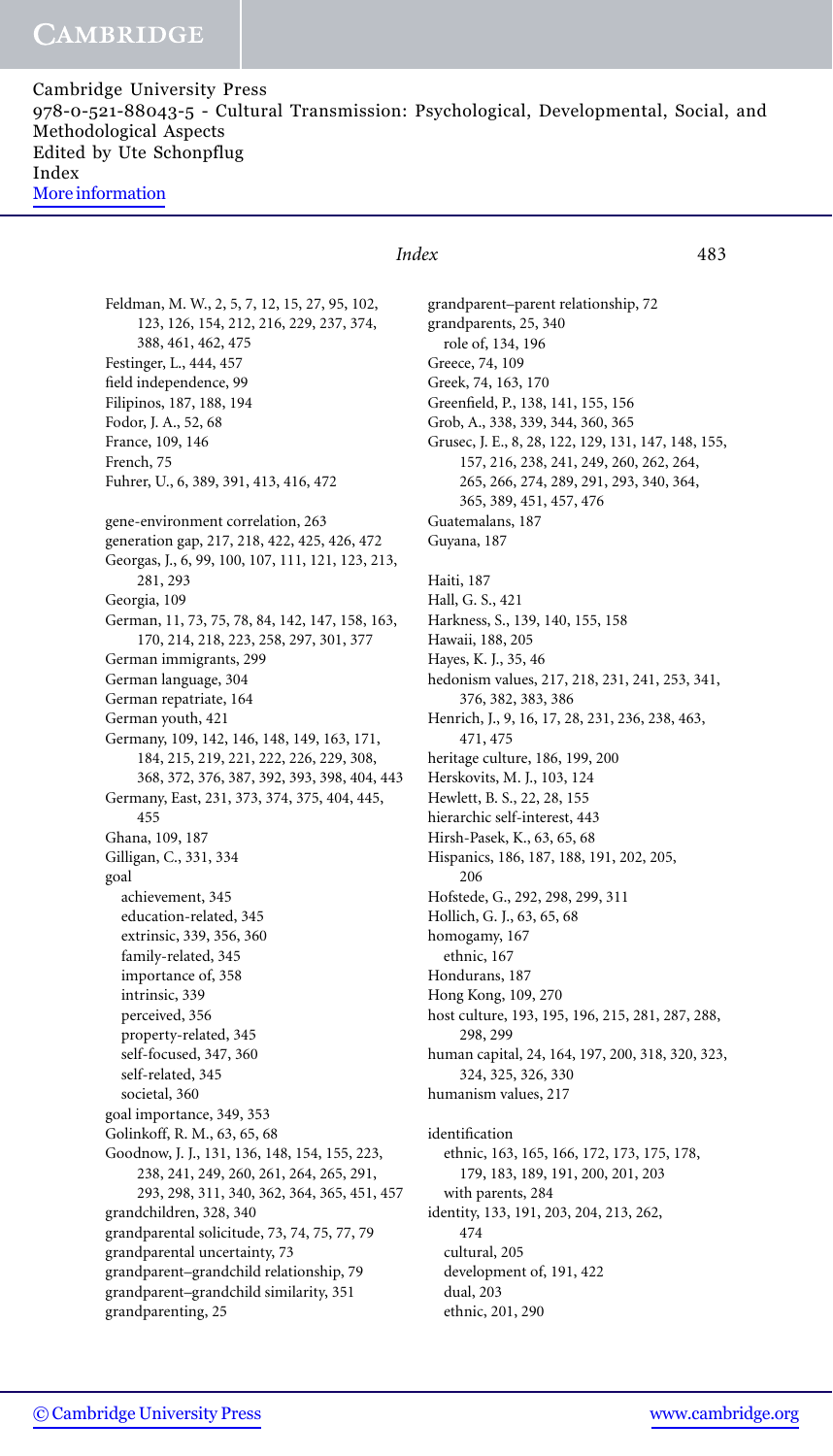Cambridge University Press 978-0-521-88043-5 - Cultural Transmission: Psychological, Developmental, Social, and Methodological Aspects Edited by Ute Schonpflug Index [More information](http://www.cambridge.org/9780521880435)

Feldman, M. W., 2, 5, 7, 12, 15, 27, 95, 102, 123, 126, 154, 212, 216, 229, 237, 374, 388, 461, 462, 475 Festinger, L., 444, 457 field independence, 99 Filipinos, 187, 188, 194 Fodor, J. A., 52, 68 France, 109, 146 French, 75 Fuhrer, U., 6, 389, 391, 413, 416, 472 gene-environment correlation, 263 generation gap, 217, 218, 422, 425, 426, 472 Georgas, J., 6, 99, 100, 107, 111, 121, 123, 213, 281, 293 Georgia, 109 German, 11, 73, 75, 78, 84, 142, 147, 158, 163, 170, 214, 218, 223, 258, 297, 301, 377 German immigrants, 299 German language, 304 German repatriate, 164 German youth, 421 Germany, 109, 142, 146, 148, 149, 163, 171, 184, 215, 219, 221, 222, 226, 229, 308, 368, 372, 376, 387, 392, 393, 398, 404, 443 Germany, East, 231, 373, 374, 375, 404, 445, 455 Ghana, 109, 187 Gilligan, C., 331, 334 goal achievement, 345 education-related, 345 extrinsic, 339, 356, 360 family-related, 345 importance of, 358 intrinsic, 339 perceived, 356 property-related, 345 self-focused, 347, 360 self-related, 345 societal, 360 goal importance, 349, 353 Golinkoff, R. M., 63, 65, 68 Goodnow, J. J., 131, 136, 148, 154, 155, 223, 238, 241, 249, 260, 261, 264, 265, 291, 293, 298, 311, 340, 362, 364, 365, 451, 457 grandchildren, 328, 340 grandparental solicitude, 73, 74, 75, 77, 79 grandparental uncertainty, 73 grandparent–grandchild relationship, 79 grandparent–grandchild similarity, 351 grandparenting, 25

## *Index* 483

grandparent–parent relationship, 72 grandparents, 25, 340 role of, 134, 196 Greece, 74, 109 Greek, 74, 163, 170 Greenfield, P., 138, 141, 155, 156 Grob, A., 338, 339, 344, 360, 365 Grusec, J. E., 8, 28, 122, 129, 131, 147, 148, 155, 157, 216, 238, 241, 249, 260, 262, 264, 265, 266, 274, 289, 291, 293, 340, 364, 365, 389, 451, 457, 476 Guatemalans, 187 Guyana, 187 Haiti, 187 Hall, G. S., 421 Harkness, S., 139, 140, 155, 158 Hawaii, 188, 205 Hayes, K. J., 35, 46 hedonism values, 217, 218, 231, 241, 253, 341, 376, 382, 383, 386 Henrich, J., 9, 16, 17, 28, 231, 236, 238, 463, 471, 475 heritage culture, 186, 199, 200 Herskovits, M. J., 103, 124 Hewlett, B. S., 22, 28, 155 hierarchic self-interest, 443 Hirsh-Pasek, K., 63, 65, 68 Hispanics, 186, 187, 188, 191, 202, 205, 206 Hofstede, G., 292, 298, 299, 311 Hollich, G. J., 63, 65, 68 homogamy, 167 ethnic, 167 Hondurans, 187 Hong Kong, 109, 270 host culture, 193, 195, 196, 215, 281, 287, 288, 298, 299 human capital, 24, 164, 197, 200, 318, 320, 323, 324, 325, 326, 330 humanism values, 217 identification ethnic, 163, 165, 166, 172, 173, 175, 178, 179, 183, 189, 191, 200, 201, 203 with parents, 284 identity, 133, 191, 203, 204, 213, 262, 474 cultural, 205 development of, 191, 422 dual, 203 ethnic, 201, 290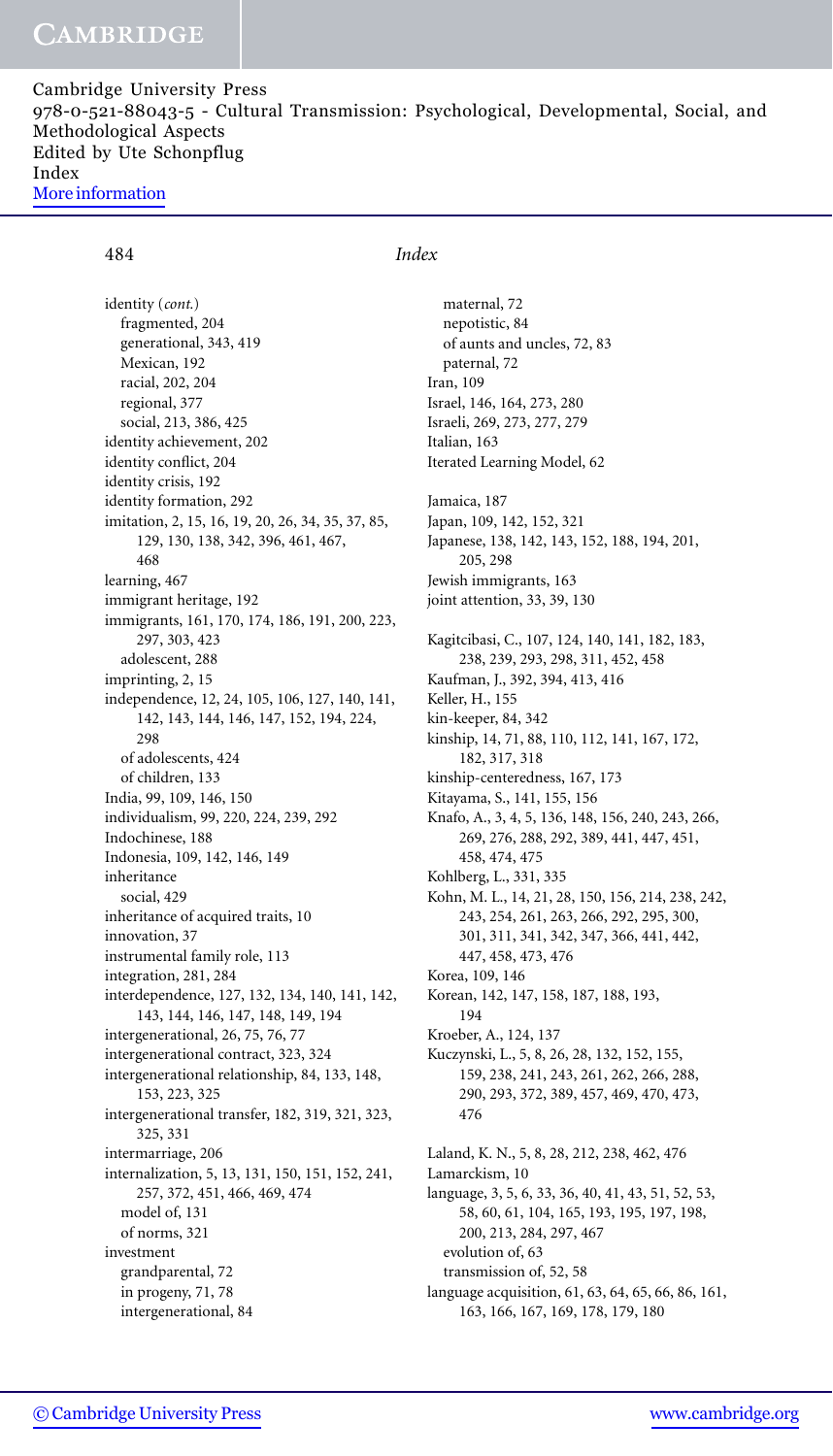Cambridge University Press 978-0-521-88043-5 - Cultural Transmission: Psychological, Developmental, Social, and Methodological Aspects Edited by Ute Schonpflug Index [More information](http://www.cambridge.org/9780521880435)

### 484 *Index*

identity (*cont.*) fragmented, 204 generational, 343, 419 Mexican, 192 racial, 202, 204 regional, 377 social, 213, 386, 425 identity achievement, 202 identity conflict, 204 identity crisis, 192 identity formation, 292 imitation, 2, 15, 16, 19, 20, 26, 34, 35, 37, 85, 129, 130, 138, 342, 396, 461, 467, 468 learning, 467 immigrant heritage, 192 immigrants, 161, 170, 174, 186, 191, 200, 223, 297, 303, 423 adolescent, 288 imprinting, 2, 15 independence, 12, 24, 105, 106, 127, 140, 141, 142, 143, 144, 146, 147, 152, 194, 224, 298 of adolescents, 424 of children, 133 India, 99, 109, 146, 150 individualism, 99, 220, 224, 239, 292 Indochinese, 188 Indonesia, 109, 142, 146, 149 inheritance social, 429 inheritance of acquired traits, 10 innovation, 37 instrumental family role, 113 integration, 281, 284 interdependence, 127, 132, 134, 140, 141, 142, 143, 144, 146, 147, 148, 149, 194 intergenerational, 26, 75, 76, 77 intergenerational contract, 323, 324 intergenerational relationship, 84, 133, 148, 153, 223, 325 intergenerational transfer, 182, 319, 321, 323, 325, 331 intermarriage, 206 internalization, 5, 13, 131, 150, 151, 152, 241, 257, 372, 451, 466, 469, 474 model of, 131 of norms, 321 investment grandparental, 72 in progeny, 71, 78 intergenerational, 84

maternal, 72 nepotistic, 84 of aunts and uncles, 72, 83 paternal, 72 Iran, 109 Israel, 146, 164, 273, 280 Israeli, 269, 273, 277, 279 Italian, 163 Iterated Learning Model, 62 Jamaica, 187 Japan, 109, 142, 152, 321 Japanese, 138, 142, 143, 152, 188, 194, 201, 205, 298 Jewish immigrants, 163 joint attention, 33, 39, 130 Kagitcibasi, C., 107, 124, 140, 141, 182, 183, 238, 239, 293, 298, 311, 452, 458 Kaufman, J., 392, 394, 413, 416 Keller, H., 155 kin-keeper, 84, 342 kinship, 14, 71, 88, 110, 112, 141, 167, 172, 182, 317, 318 kinship-centeredness, 167, 173 Kitayama, S., 141, 155, 156 Knafo, A., 3, 4, 5, 136, 148, 156, 240, 243, 266, 269, 276, 288, 292, 389, 441, 447, 451, 458, 474, 475 Kohlberg, L., 331, 335 Kohn, M. L., 14, 21, 28, 150, 156, 214, 238, 242, 243, 254, 261, 263, 266, 292, 295, 300, 301, 311, 341, 342, 347, 366, 441, 442, 447, 458, 473, 476 Korea, 109, 146 Korean, 142, 147, 158, 187, 188, 193, 194 Kroeber, A., 124, 137 Kuczynski, L., 5, 8, 26, 28, 132, 152, 155, 159, 238, 241, 243, 261, 262, 266, 288, 290, 293, 372, 389, 457, 469, 470, 473, 476 Laland, K. N., 5, 8, 28, 212, 238, 462, 476 Lamarckism, 10 language, 3, 5, 6, 33, 36, 40, 41, 43, 51, 52, 53, 58, 60, 61, 104, 165, 193, 195, 197, 198, 200, 213, 284, 297, 467 evolution of, 63 transmission of, 52, 58 language acquisition, 61, 63, 64, 65, 66, 86, 161, 163, 166, 167, 169, 178, 179, 180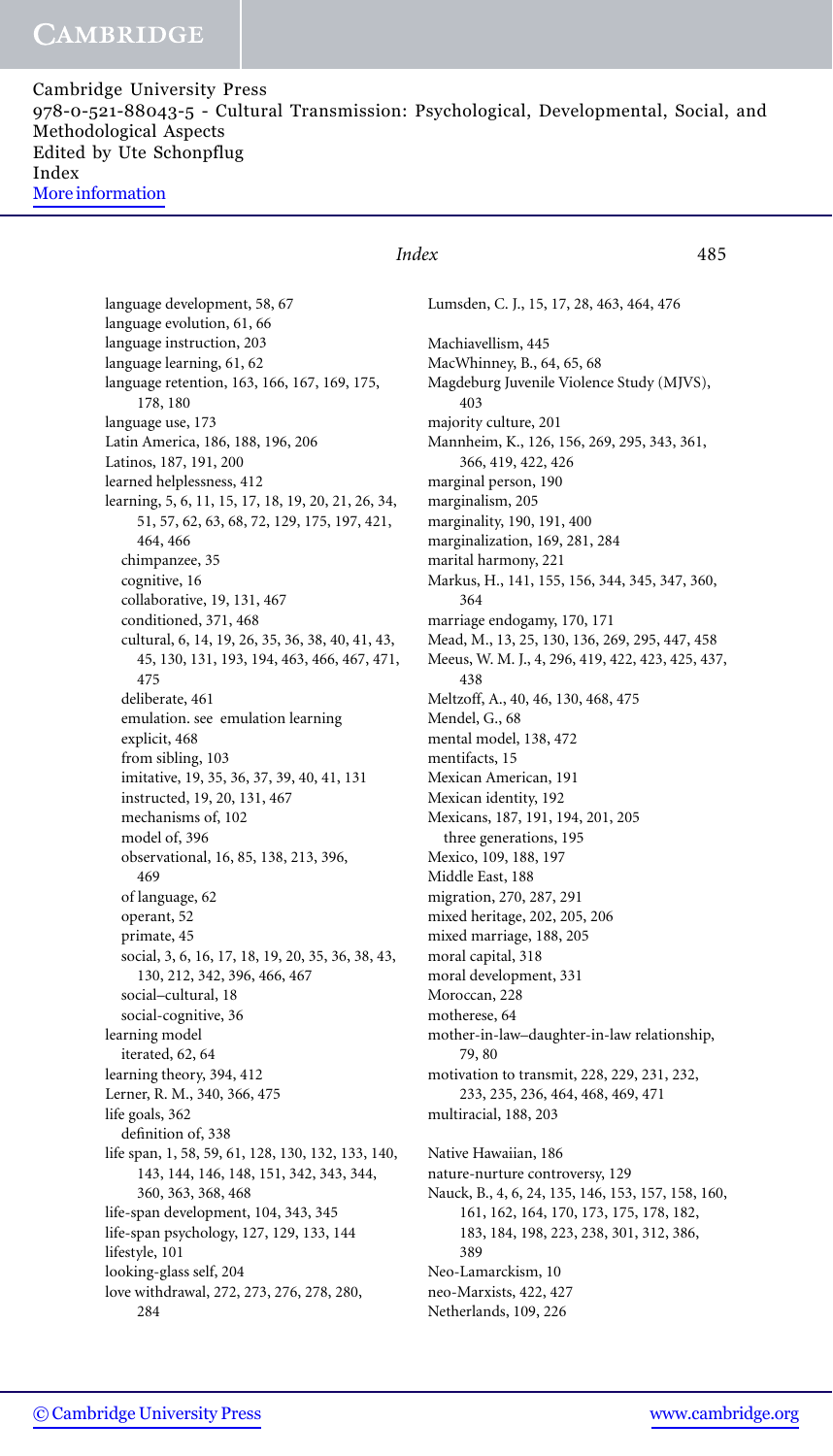Cambridge University Press 978-0-521-88043-5 - Cultural Transmission: Psychological, Developmental, Social, and Methodological Aspects Edited by Ute Schonpflug Index [More information](http://www.cambridge.org/9780521880435)

language development, 58, 67 language evolution, 61, 66 language instruction, 203 language learning, 61, 62 language retention, 163, 166, 167, 169, 175, 178, 180 language use, 173 Latin America, 186, 188, 196, 206 Latinos, 187, 191, 200 learned helplessness, 412 learning, 5, 6, 11, 15, 17, 18, 19, 20, 21, 26, 34, 51, 57, 62, 63, 68, 72, 129, 175, 197, 421, 464, 466 chimpanzee, 35 cognitive, 16 collaborative, 19, 131, 467 conditioned, 371, 468 cultural, 6, 14, 19, 26, 35, 36, 38, 40, 41, 43, 45, 130, 131, 193, 194, 463, 466, 467, 471, 475 deliberate, 461 emulation. see emulation learning explicit, 468 from sibling, 103 imitative, 19, 35, 36, 37, 39, 40, 41, 131 instructed, 19, 20, 131, 467 mechanisms of, 102 model of, 396 observational, 16, 85, 138, 213, 396, 469 of language, 62 operant, 52 primate, 45 social, 3, 6, 16, 17, 18, 19, 20, 35, 36, 38, 43, 130, 212, 342, 396, 466, 467 social–cultural, 18 social-cognitive, 36 learning model iterated, 62, 64 learning theory, 394, 412 Lerner, R. M., 340, 366, 475 life goals, 362 definition of, 338 life span, 1, 58, 59, 61, 128, 130, 132, 133, 140, 143, 144, 146, 148, 151, 342, 343, 344, 360, 363, 368, 468 life-span development, 104, 343, 345 life-span psychology, 127, 129, 133, 144 lifestyle, 101 looking-glass self, 204 love withdrawal, 272, 273, 276, 278, 280, 284

### *Index* 485

Lumsden, C. J., 15, 17, 28, 463, 464, 476

Machiavellism, 445 MacWhinney, B., 64, 65, 68 Magdeburg Juvenile Violence Study (MJVS), 403 majority culture, 201 Mannheim, K., 126, 156, 269, 295, 343, 361, 366, 419, 422, 426 marginal person, 190 marginalism, 205 marginality, 190, 191, 400 marginalization, 169, 281, 284 marital harmony, 221 Markus, H., 141, 155, 156, 344, 345, 347, 360, 364 marriage endogamy, 170, 171 Mead, M., 13, 25, 130, 136, 269, 295, 447, 458 Meeus, W. M. J., 4, 296, 419, 422, 423, 425, 437, 438 Meltzoff, A., 40, 46, 130, 468, 475 Mendel, G., 68 mental model, 138, 472 mentifacts, 15 Mexican American, 191 Mexican identity, 192 Mexicans, 187, 191, 194, 201, 205 three generations, 195 Mexico, 109, 188, 197 Middle East, 188 migration, 270, 287, 291 mixed heritage, 202, 205, 206 mixed marriage, 188, 205 moral capital, 318 moral development, 331 Moroccan, 228 motherese, 64 mother-in-law–daughter-in-law relationship, 79, 80 motivation to transmit, 228, 229, 231, 232, 233, 235, 236, 464, 468, 469, 471 multiracial, 188, 203 Native Hawaiian, 186 nature-nurture controversy, 129 Nauck, B., 4, 6, 24, 135, 146, 153, 157, 158, 160, 161, 162, 164, 170, 173, 175, 178, 182, 183, 184, 198, 223, 238, 301, 312, 386, 389 Neo-Lamarckism, 10 neo-Marxists, 422, 427 Netherlands, 109, 226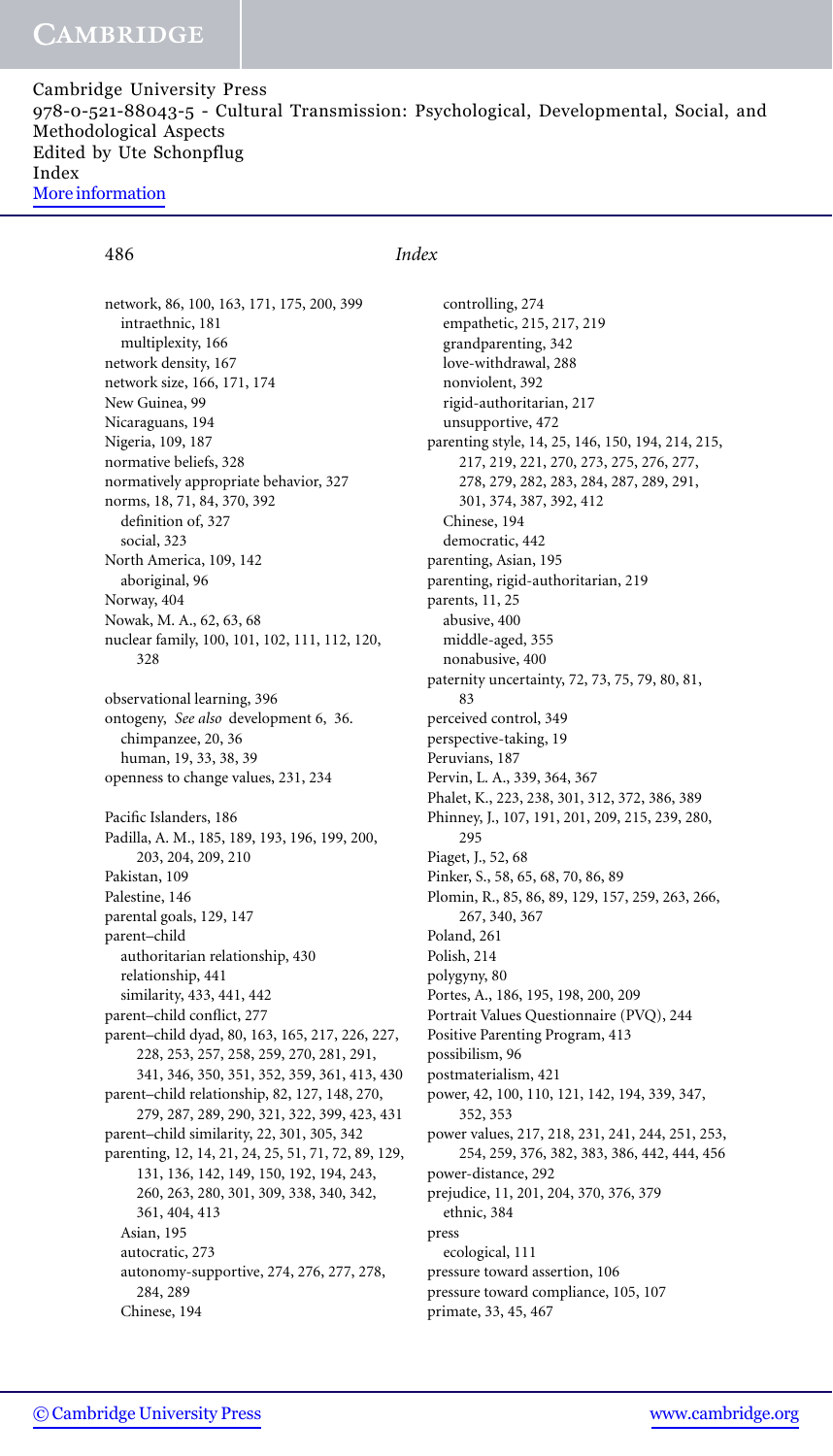Cambridge University Press 978-0-521-88043-5 - Cultural Transmission: Psychological, Developmental, Social, and Methodological Aspects Edited by Ute Schonpflug Index [More information](http://www.cambridge.org/9780521880435)

## 486 *Index*

network, 86, 100, 163, 171, 175, 200, 399 intraethnic, 181 multiplexity, 166 network density, 167 network size, 166, 171, 174 New Guinea, 99 Nicaraguans, 194 Nigeria, 109, 187 normative beliefs, 328 normatively appropriate behavior, 327 norms, 18, 71, 84, 370, 392 definition of, 327 social, 323 North America, 109, 142 aboriginal, 96 Norway, 404 Nowak, M. A., 62, 63, 68 nuclear family, 100, 101, 102, 111, 112, 120, 328 observational learning, 396 ontogeny, *See also* development 6, 36. chimpanzee, 20, 36 human, 19, 33, 38, 39 openness to change values, 231, 234 Pacific Islanders, 186 Padilla, A. M., 185, 189, 193, 196, 199, 200, 203, 204, 209, 210 Pakistan, 109 Palestine, 146 parental goals, 129, 147 parent–child authoritarian relationship, 430 relationship, 441 similarity, 433, 441, 442 parent–child conflict, 277 parent–child dyad, 80, 163, 165, 217, 226, 227, 228, 253, 257, 258, 259, 270, 281, 291, 341, 346, 350, 351, 352, 359, 361, 413, 430 parent–child relationship, 82, 127, 148, 270, 279, 287, 289, 290, 321, 322, 399, 423, 431 parent–child similarity, 22, 301, 305, 342 parenting, 12, 14, 21, 24, 25, 51, 71, 72, 89, 129, 131, 136, 142, 149, 150, 192, 194, 243, 260, 263, 280, 301, 309, 338, 340, 342, 361, 404, 413 Asian, 195 autocratic, 273 autonomy-supportive, 274, 276, 277, 278, 284, 289 Chinese, 194

controlling, 274 empathetic, 215, 217, 219 grandparenting, 342 love-withdrawal, 288 nonviolent, 392 rigid-authoritarian, 217 unsupportive, 472 parenting style, 14, 25, 146, 150, 194, 214, 215, 217, 219, 221, 270, 273, 275, 276, 277, 278, 279, 282, 283, 284, 287, 289, 291, 301, 374, 387, 392, 412 Chinese, 194 democratic, 442 parenting, Asian, 195 parenting, rigid-authoritarian, 219 parents, 11, 25 abusive, 400 middle-aged, 355 nonabusive, 400 paternity uncertainty, 72, 73, 75, 79, 80, 81, 83 perceived control, 349 perspective-taking, 19 Peruvians, 187 Pervin, L. A., 339, 364, 367 Phalet, K., 223, 238, 301, 312, 372, 386, 389 Phinney, J., 107, 191, 201, 209, 215, 239, 280, 295 Piaget, J., 52, 68 Pinker, S., 58, 65, 68, 70, 86, 89 Plomin, R., 85, 86, 89, 129, 157, 259, 263, 266, 267, 340, 367 Poland, 261 Polish, 214 polygyny, 80 Portes, A., 186, 195, 198, 200, 209 Portrait Values Questionnaire (PVQ), 244 Positive Parenting Program, 413 possibilism, 96 postmaterialism, 421 power, 42, 100, 110, 121, 142, 194, 339, 347, 352, 353 power values, 217, 218, 231, 241, 244, 251, 253, 254, 259, 376, 382, 383, 386, 442, 444, 456 power-distance, 292 prejudice, 11, 201, 204, 370, 376, 379 ethnic, 384 press ecological, 111 pressure toward assertion, 106 pressure toward compliance, 105, 107 primate, 33, 45, 467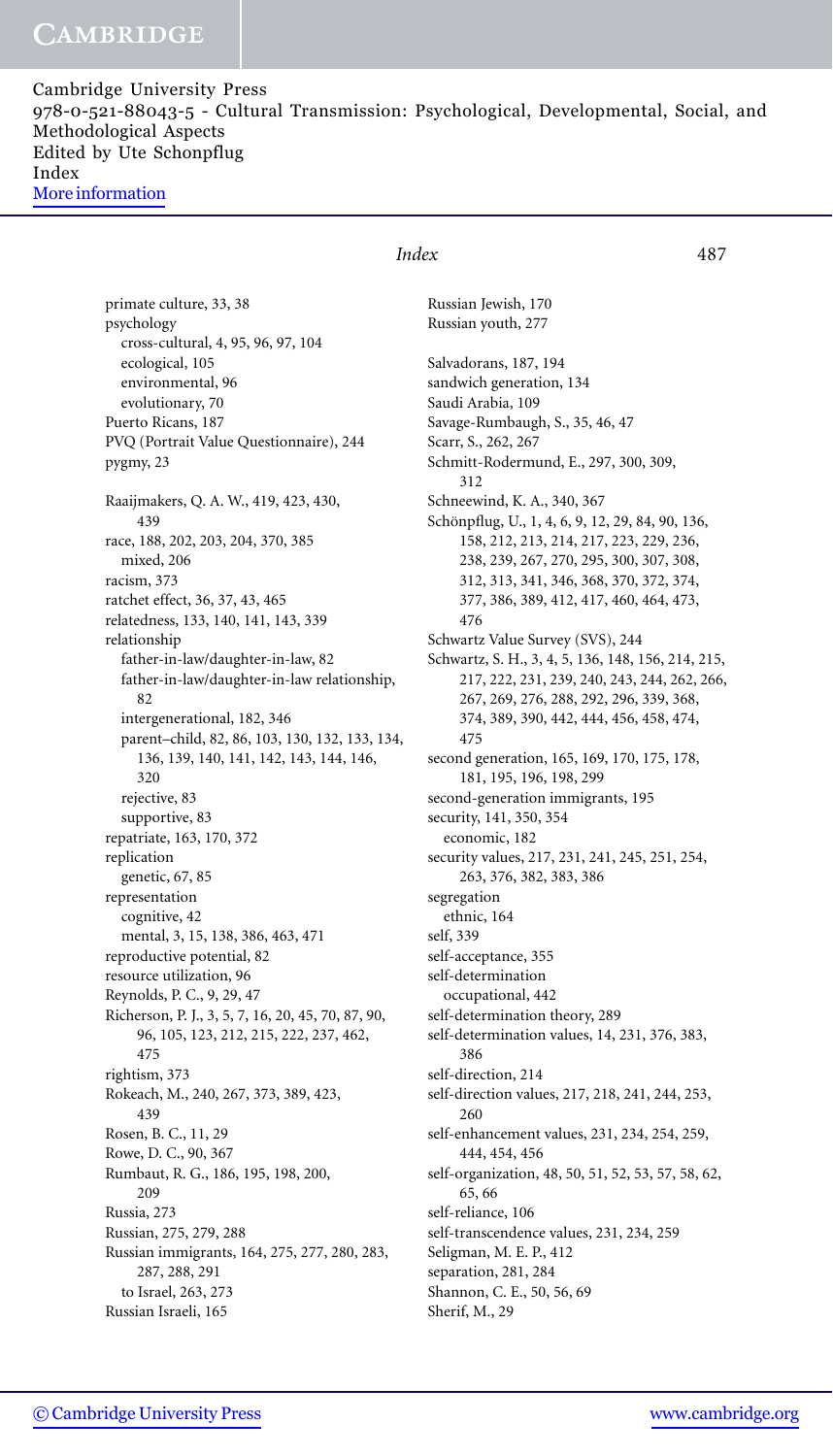Cambridge University Press 978-0-521-88043-5 - Cultural Transmission: Psychological, Developmental, Social, and Methodological Aspects Edited by Ute Schonpflug Index [More information](http://www.cambridge.org/9780521880435)

primate culture, 33, 38 psychology cross-cultural, 4, 95, 96, 97, 104 ecological, 105 environmental, 96 evolutionary, 70 Puerto Ricans, 187 PVQ (Portrait Value Questionnaire), 244 pygmy, 23 Raaijmakers, Q. A. W., 419, 423, 430, 439 race, 188, 202, 203, 204, 370, 385 mixed, 206 racism, 373 ratchet effect, 36, 37, 43, 465 relatedness, 133, 140, 141, 143, 339 relationship father-in-law/daughter-in-law, 82 father-in-law/daughter-in-law relationship, 82 intergenerational, 182, 346 parent–child, 82, 86, 103, 130, 132, 133, 134, 136, 139, 140, 141, 142, 143, 144, 146, 320 rejective, 83 supportive, 83 repatriate, 163, 170, 372 replication genetic, 67, 85 representation cognitive, 42 mental, 3, 15, 138, 386, 463, 471 reproductive potential, 82 resource utilization, 96 Reynolds, P. C., 9, 29, 47 Richerson, P. J., 3, 5, 7, 16, 20, 45, 70, 87, 90, 96, 105, 123, 212, 215, 222, 237, 462, 475 rightism, 373 Rokeach, M., 240, 267, 373, 389, 423, 439 Rosen, B. C., 11, 29 Rowe, D. C., 90, 367 Rumbaut, R. G., 186, 195, 198, 200, 209 Russia, 273 Russian, 275, 279, 288 Russian immigrants, 164, 275, 277, 280, 283, 287, 288, 291 to Israel, 263, 273 Russian Israeli, 165

### *Index* 487

Russian Jewish, 170 Russian youth, 277

Salvadorans, 187, 194 sandwich generation, 134 Saudi Arabia, 109 Savage-Rumbaugh, S., 35, 46, 47 Scarr, S., 262, 267 Schmitt-Rodermund, E., 297, 300, 309, 312 Schneewind, K. A., 340, 367 Schönpflug, U., 1, 4, 6, 9, 12, 29, 84, 90, 136, 158, 212, 213, 214, 217, 223, 229, 236, 238, 239, 267, 270, 295, 300, 307, 308, 312, 313, 341, 346, 368, 370, 372, 374, 377, 386, 389, 412, 417, 460, 464, 473, 476 Schwartz Value Survey (SVS), 244 Schwartz, S. H., 3, 4, 5, 136, 148, 156, 214, 215, 217, 222, 231, 239, 240, 243, 244, 262, 266, 267, 269, 276, 288, 292, 296, 339, 368, 374, 389, 390, 442, 444, 456, 458, 474, 475 second generation, 165, 169, 170, 175, 178, 181, 195, 196, 198, 299 second-generation immigrants, 195 security, 141, 350, 354 economic, 182 security values, 217, 231, 241, 245, 251, 254, 263, 376, 382, 383, 386 segregation ethnic, 164 self, 339 self-acceptance, 355 self-determination occupational, 442 self-determination theory, 289 self-determination values, 14, 231, 376, 383, 386 self-direction, 214 self-direction values, 217, 218, 241, 244, 253, 260 self-enhancement values, 231, 234, 254, 259, 444, 454, 456 self-organization, 48, 50, 51, 52, 53, 57, 58, 62, 65, 66 self-reliance, 106 self-transcendence values, 231, 234, 259 Seligman, M. E. P., 412 separation, 281, 284 Shannon, C. E., 50, 56, 69 Sherif, M., 29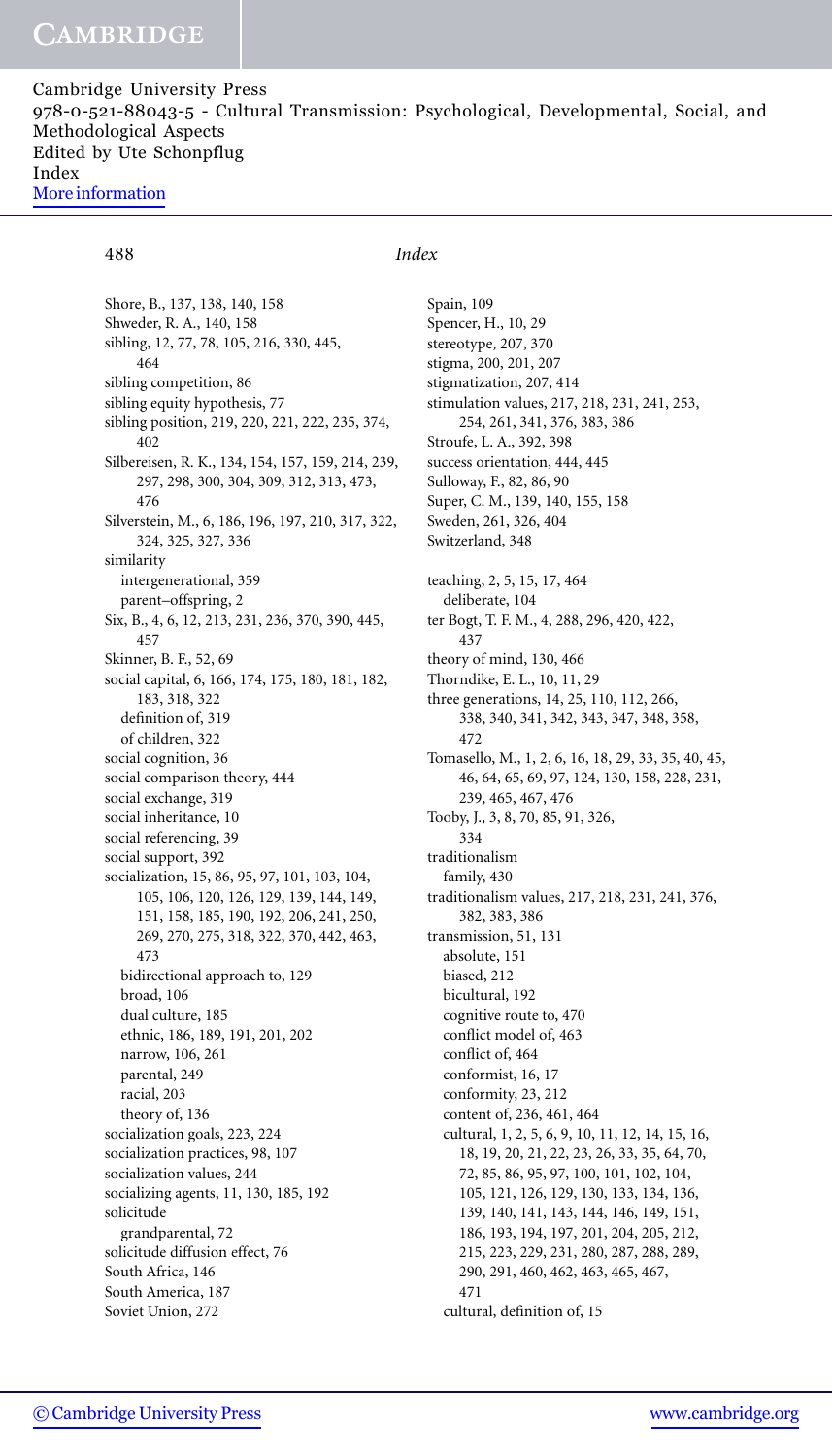Shore, B., 137, 138, 140, 158 Shweder, R. A., 140, 158 sibling, 12, 77, 78, 105, 216, 330, 445, 464 sibling competition, 86 sibling equity hypothesis, 77 sibling position, 219, 220, 221, 222, 235, 374, 402 Silbereisen, R. K., 134, 154, 157, 159, 214, 239, 297, 298, 300, 304, 309, 312, 313, 473, 476 Silverstein, M., 6, 186, 196, 197, 210, 317, 322, 324, 325, 327, 336 similarity intergenerational, 359 parent–offspring, 2 Six, B., 4, 6, 12, 213, 231, 236, 370, 390, 445, 457 Skinner, B. F., 52, 69 social capital, 6, 166, 174, 175, 180, 181, 182, 183, 318, 322 definition of, 319 of children, 322 social cognition, 36 social comparison theory, 444 social exchange, 319 social inheritance, 10 social referencing, 39 social support, 392 socialization, 15, 86, 95, 97, 101, 103, 104, 105, 106, 120, 126, 129, 139, 144, 149, 151, 158, 185, 190, 192, 206, 241, 250, 269, 270, 275, 318, 322, 370, 442, 463, 473 bidirectional approach to, 129 broad, 106 dual culture, 185 ethnic, 186, 189, 191, 201, 202 narrow, 106, 261 parental, 249 racial, 203 theory of, 136 socialization goals, 223, 224 socialization practices, 98, 107 socialization values, 244 socializing agents, 11, 130, 185, 192 solicitude grandparental, 72 solicitude diffusion effect, 76 South Africa, 146 South America, 187 Soviet Union, 272

## 488 *Index*

Spain, 109 Spencer, H., 10, 29 stereotype, 207, 370 stigma, 200, 201, 207 stigmatization, 207, 414 stimulation values, 217, 218, 231, 241, 253, 254, 261, 341, 376, 383, 386 Stroufe, L. A., 392, 398 success orientation, 444, 445 Sulloway, F., 82, 86, 90 Super, C. M., 139, 140, 155, 158 Sweden, 261, 326, 404 Switzerland, 348 teaching, 2, 5, 15, 17, 464 deliberate, 104 ter Bogt, T. F. M., 4, 288, 296, 420, 422, 437 theory of mind, 130, 466 Thorndike, E. L., 10, 11, 29 three generations, 14, 25, 110, 112, 266, 338, 340, 341, 342, 343, 347, 348, 358, 472 Tomasello, M., 1, 2, 6, 16, 18, 29, 33, 35, 40, 45, 46, 64, 65, 69, 97, 124, 130, 158, 228, 231, 239, 465, 467, 476 Tooby, J., 3, 8, 70, 85, 91, 326, 334 traditionalism family, 430 traditionalism values, 217, 218, 231, 241, 376, 382, 383, 386 transmission, 51, 131 absolute, 151 biased, 212 bicultural, 192 cognitive route to, 470 conflict model of, 463 conflict of, 464 conformist, 16, 17 conformity, 23, 212 content of, 236, 461, 464 cultural, 1, 2, 5, 6, 9, 10, 11, 12, 14, 15, 16, 18, 19, 20, 21, 22, 23, 26, 33, 35, 64, 70, 72, 85, 86, 95, 97, 100, 101, 102, 104, 105, 121, 126, 129, 130, 133, 134, 136, 139, 140, 141, 143, 144, 146, 149, 151, 186, 193, 194, 197, 201, 204, 205, 212, 215, 223, 229, 231, 280, 287, 288, 289, 290, 291, 460, 462, 463, 465, 467, 471 cultural, definition of, 15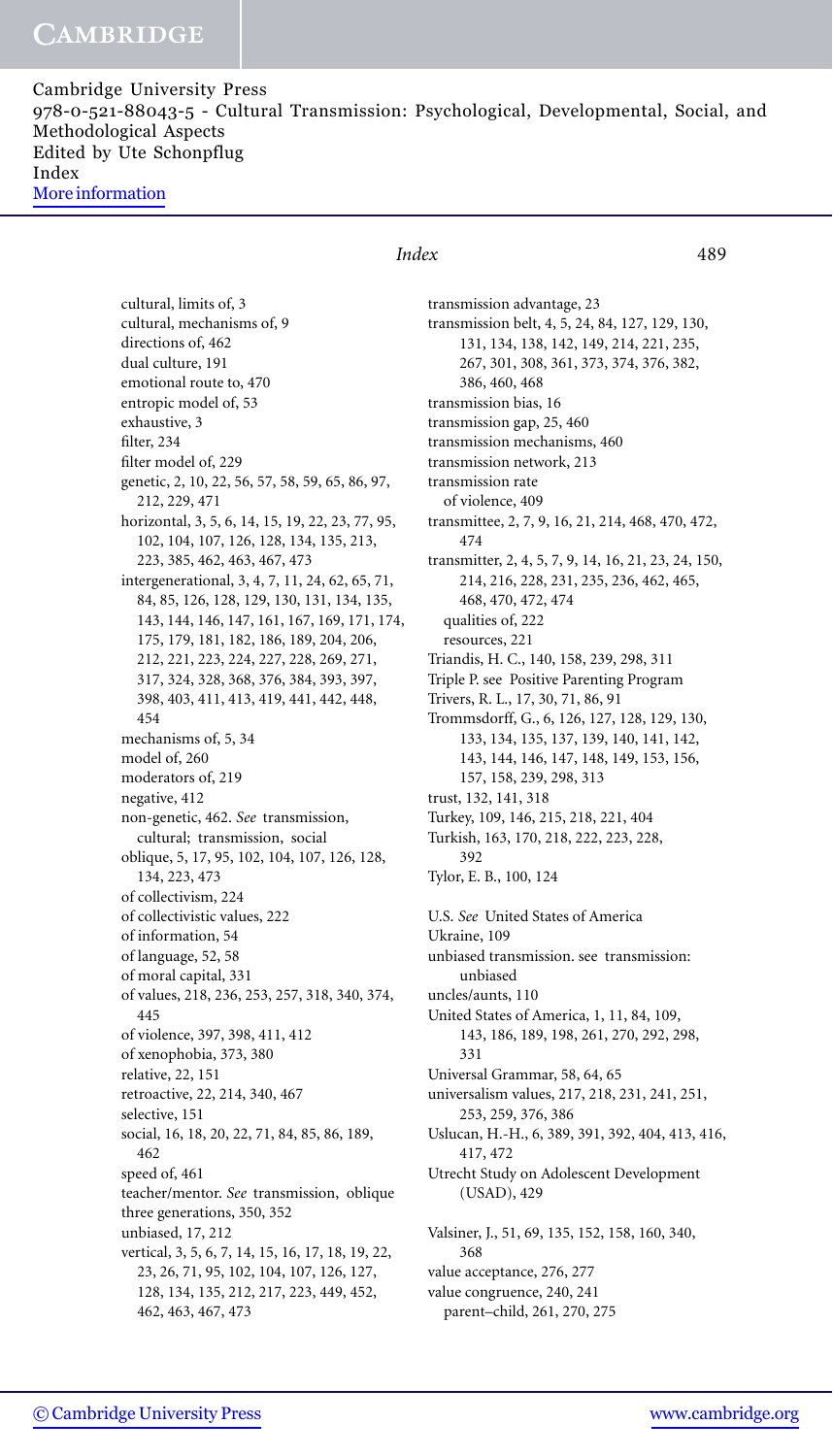Cambridge University Press 978-0-521-88043-5 - Cultural Transmission: Psychological, Developmental, Social, and Methodological Aspects Edited by Ute Schonpflug Index [More information](http://www.cambridge.org/9780521880435)

> cultural, limits of, 3 cultural, mechanisms of, 9 directions of, 462 dual culture, 191 emotional route to, 470 entropic model of, 53 exhaustive, 3 filter, 234 filter model of, 229 genetic, 2, 10, 22, 56, 57, 58, 59, 65, 86, 97, 212, 229, 471 horizontal, 3, 5, 6, 14, 15, 19, 22, 23, 77, 95, 102, 104, 107, 126, 128, 134, 135, 213, 223, 385, 462, 463, 467, 473 intergenerational, 3, 4, 7, 11, 24, 62, 65, 71, 84, 85, 126, 128, 129, 130, 131, 134, 135, 143, 144, 146, 147, 161, 167, 169, 171, 174, 175, 179, 181, 182, 186, 189, 204, 206, 212, 221, 223, 224, 227, 228, 269, 271, 317, 324, 328, 368, 376, 384, 393, 397, 398, 403, 411, 413, 419, 441, 442, 448, 454 mechanisms of, 5, 34 model of, 260 moderators of, 219 negative, 412 non-genetic, 462. *See* transmission, cultural; transmission, social oblique, 5, 17, 95, 102, 104, 107, 126, 128, 134, 223, 473 of collectivism, 224 of collectivistic values, 222 of information, 54 of language, 52, 58 of moral capital, 331 of values, 218, 236, 253, 257, 318, 340, 374, 445 of violence, 397, 398, 411, 412 of xenophobia, 373, 380 relative, 22, 151 retroactive, 22, 214, 340, 467 selective, 151 social, 16, 18, 20, 22, 71, 84, 85, 86, 189, 462 speed of, 461 teacher/mentor. *See* transmission, oblique three generations, 350, 352 unbiased, 17, 212 vertical, 3, 5, 6, 7, 14, 15, 16, 17, 18, 19, 22, 23, 26, 71, 95, 102, 104, 107, 126, 127, 128, 134, 135, 212, 217, 223, 449, 452, 462, 463, 467, 473

### *Index* 489

transmission advantage, 23 transmission belt, 4, 5, 24, 84, 127, 129, 130, 131, 134, 138, 142, 149, 214, 221, 235, 267, 301, 308, 361, 373, 374, 376, 382, 386, 460, 468 transmission bias, 16 transmission gap, 25, 460 transmission mechanisms, 460 transmission network, 213 transmission rate of violence, 409 transmittee, 2, 7, 9, 16, 21, 214, 468, 470, 472, 474 transmitter, 2, 4, 5, 7, 9, 14, 16, 21, 23, 24, 150, 214, 216, 228, 231, 235, 236, 462, 465, 468, 470, 472, 474 qualities of, 222 resources, 221 Triandis, H. C., 140, 158, 239, 298, 311 Triple P. see Positive Parenting Program Trivers, R. L., 17, 30, 71, 86, 91 Trommsdorff, G., 6, 126, 127, 128, 129, 130, 133, 134, 135, 137, 139, 140, 141, 142, 143, 144, 146, 147, 148, 149, 153, 156, 157, 158, 239, 298, 313 trust, 132, 141, 318 Turkey, 109, 146, 215, 218, 221, 404 Turkish, 163, 170, 218, 222, 223, 228, 392 Tylor, E. B., 100, 124 U.S. *See* United States of America Ukraine, 109 unbiased transmission. see transmission: unbiased uncles/aunts, 110 United States of America, 1, 11, 84, 109, 143, 186, 189, 198, 261, 270, 292, 298, 331 Universal Grammar, 58, 64, 65 universalism values, 217, 218, 231, 241, 251, 253, 259, 376, 386 Uslucan, H.-H., 6, 389, 391, 392, 404, 413, 416, 417, 472 Utrecht Study on Adolescent Development (USAD), 429 Valsiner, J., 51, 69, 135, 152, 158, 160, 340, 368 value acceptance, 276, 277 value congruence, 240, 241 parent–child, 261, 270, 275